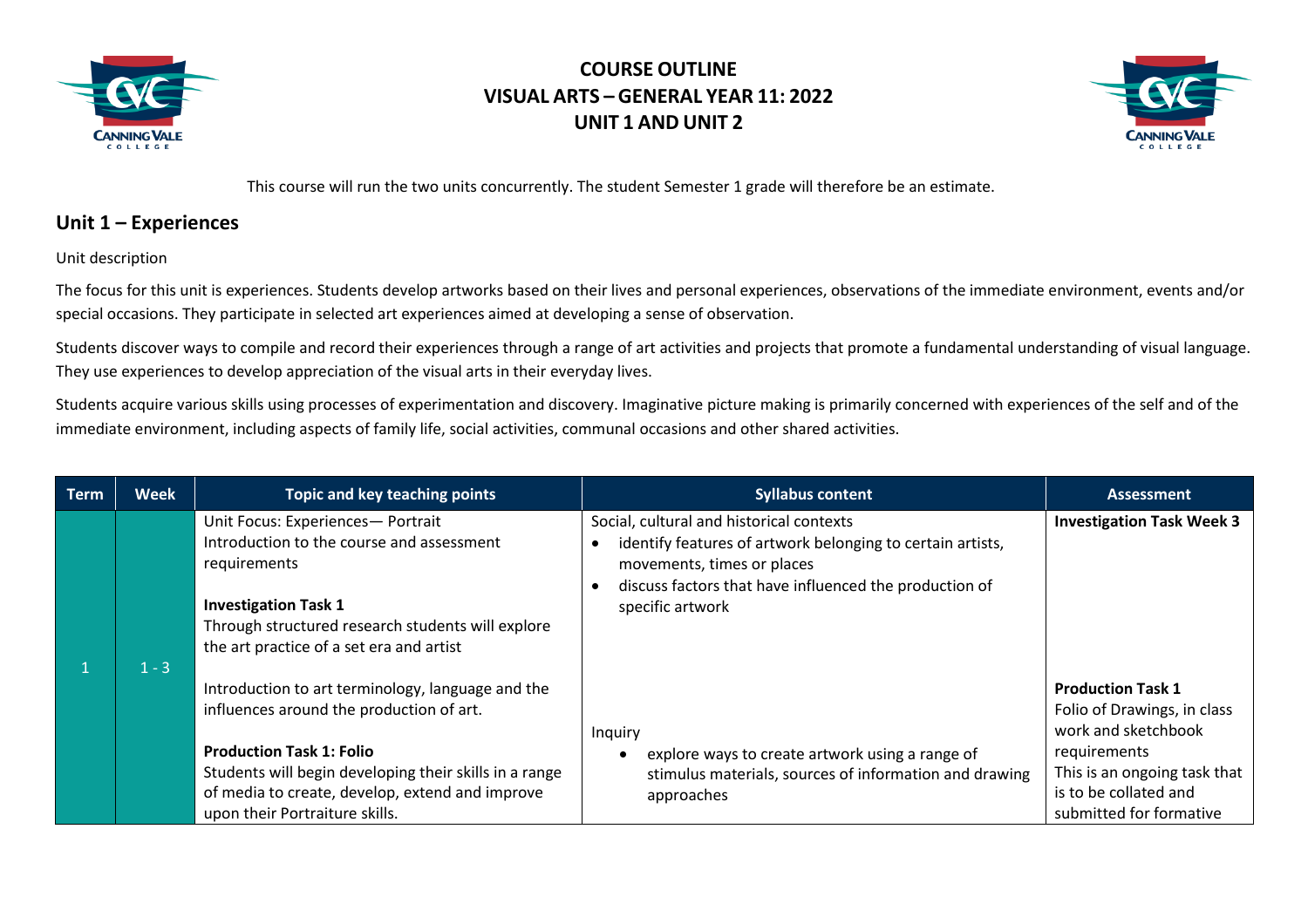



This course will run the two units concurrently. The student Semester 1 grade will therefore be an estimate.

### **Unit 1 – Experiences**

Unit description

The focus for this unit is experiences. Students develop artworks based on their lives and personal experiences, observations of the immediate environment, events and/or special occasions. They participate in selected art experiences aimed at developing a sense of observation.

Students discover ways to compile and record their experiences through a range of art activities and projects that promote a fundamental understanding of visual language. They use experiences to develop appreciation of the visual arts in their everyday lives.

Students acquire various skills using processes of experimentation and discovery. Imaginative picture making is primarily concerned with experiences of the self and of the immediate environment, including aspects of family life, social activities, communal occasions and other shared activities.

| <b>Term</b> | <b>Week</b> | Topic and key teaching points                                                                                                                                                                                                                                                   | <b>Syllabus content</b>                                                                                                                                                                                            | <b>Assessment</b>                                                                                                                                                                  |
|-------------|-------------|---------------------------------------------------------------------------------------------------------------------------------------------------------------------------------------------------------------------------------------------------------------------------------|--------------------------------------------------------------------------------------------------------------------------------------------------------------------------------------------------------------------|------------------------------------------------------------------------------------------------------------------------------------------------------------------------------------|
|             | $1 - 3$     | Unit Focus: Experiences- Portrait<br>Introduction to the course and assessment<br>requirements<br><b>Investigation Task 1</b><br>Through structured research students will explore<br>the art practice of a set era and artist                                                  | Social, cultural and historical contexts<br>identify features of artwork belonging to certain artists,<br>movements, times or places<br>discuss factors that have influenced the production of<br>specific artwork | <b>Investigation Task Week 3</b>                                                                                                                                                   |
|             |             | Introduction to art terminology, language and the<br>influences around the production of art.<br><b>Production Task 1: Folio</b><br>Students will begin developing their skills in a range<br>of media to create, develop, extend and improve<br>upon their Portraiture skills. | Inquiry<br>explore ways to create artwork using a range of<br>stimulus materials, sources of information and drawing<br>approaches                                                                                 | <b>Production Task 1</b><br>Folio of Drawings, in class<br>work and sketchbook<br>requirements<br>This is an ongoing task that<br>is to be collated and<br>submitted for formative |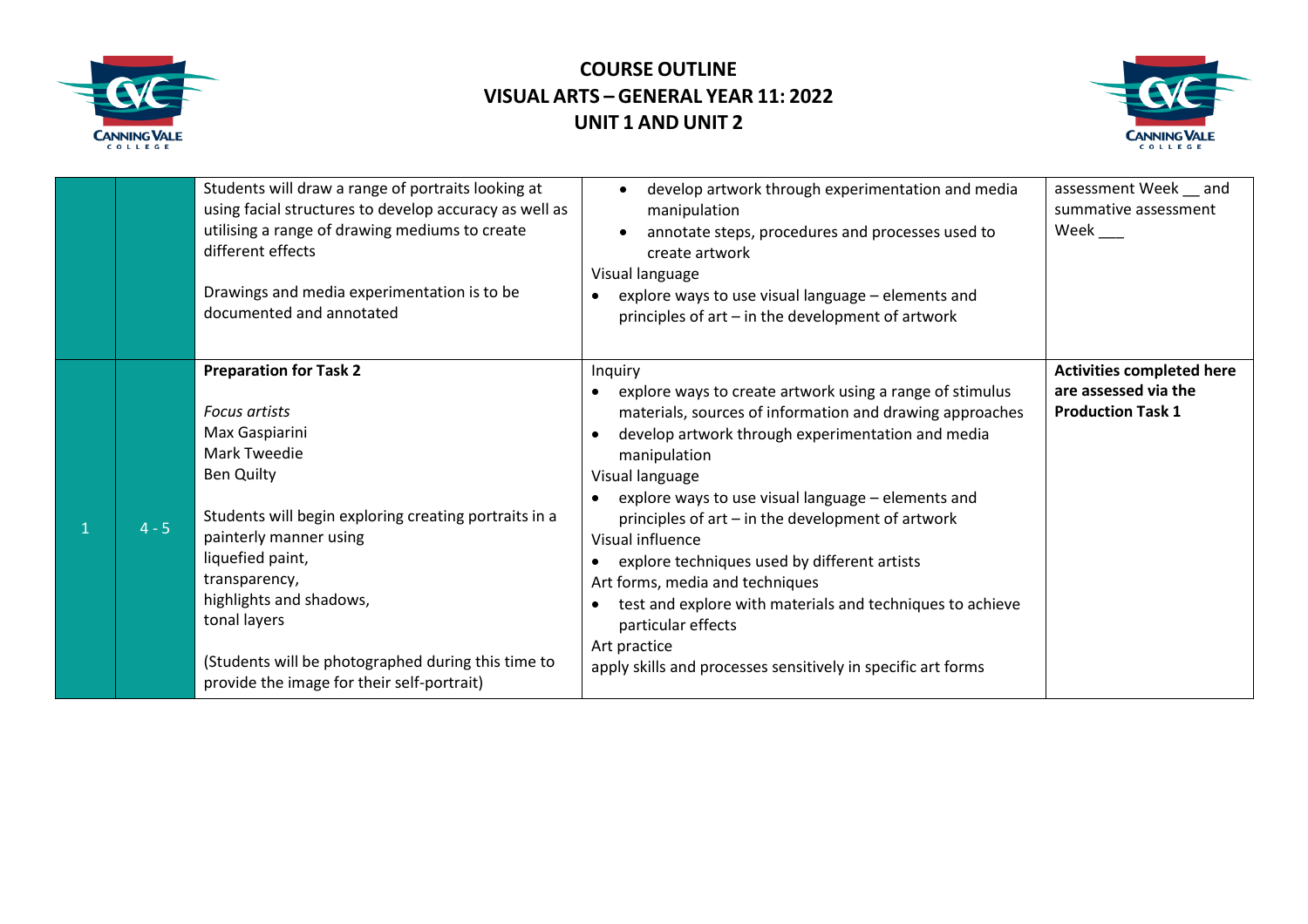



|         | Students will draw a range of portraits looking at<br>using facial structures to develop accuracy as well as<br>utilising a range of drawing mediums to create<br>different effects<br>Drawings and media experimentation is to be<br>documented and annotated                                                                                                                             | develop artwork through experimentation and media<br>manipulation<br>annotate steps, procedures and processes used to<br>create artwork<br>Visual language<br>explore ways to use visual language - elements and<br>principles of art - in the development of artwork                                                                                                                                                                                                                                                                                                                                                     | assessment Week and<br>summative assessment<br>Week $\_\_$                           |
|---------|--------------------------------------------------------------------------------------------------------------------------------------------------------------------------------------------------------------------------------------------------------------------------------------------------------------------------------------------------------------------------------------------|---------------------------------------------------------------------------------------------------------------------------------------------------------------------------------------------------------------------------------------------------------------------------------------------------------------------------------------------------------------------------------------------------------------------------------------------------------------------------------------------------------------------------------------------------------------------------------------------------------------------------|--------------------------------------------------------------------------------------|
| $4 - 5$ | <b>Preparation for Task 2</b><br><b>Focus artists</b><br>Max Gaspiarini<br><b>Mark Tweedie</b><br><b>Ben Quilty</b><br>Students will begin exploring creating portraits in a<br>painterly manner using<br>liquefied paint,<br>transparency,<br>highlights and shadows,<br>tonal layers<br>(Students will be photographed during this time to<br>provide the image for their self-portrait) | Inquiry<br>explore ways to create artwork using a range of stimulus<br>materials, sources of information and drawing approaches<br>develop artwork through experimentation and media<br>$\bullet$<br>manipulation<br>Visual language<br>explore ways to use visual language - elements and<br>principles of art - in the development of artwork<br>Visual influence<br>explore techniques used by different artists<br>Art forms, media and techniques<br>test and explore with materials and techniques to achieve<br>particular effects<br>Art practice<br>apply skills and processes sensitively in specific art forms | <b>Activities completed here</b><br>are assessed via the<br><b>Production Task 1</b> |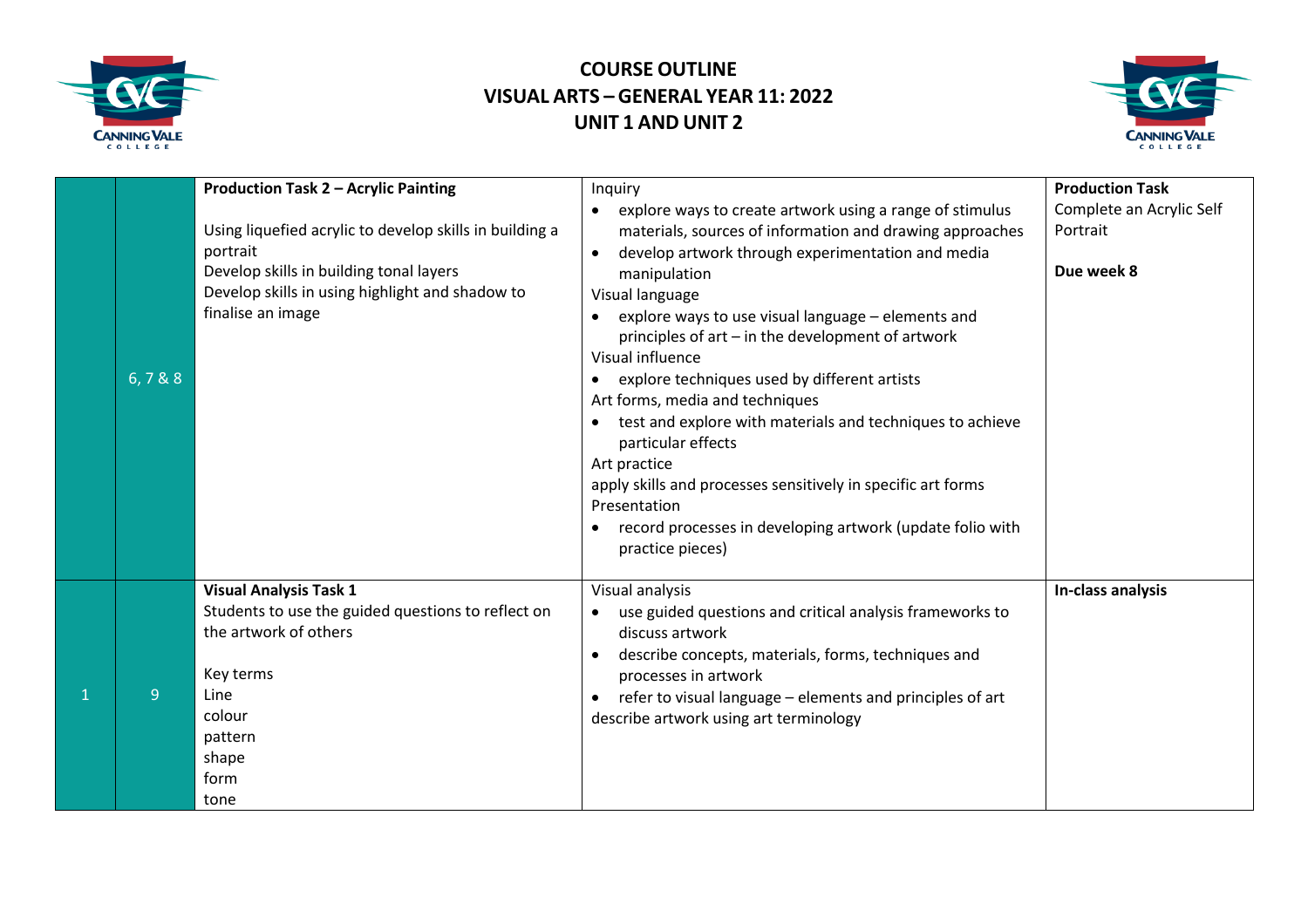



| 6,7&8 | <b>Production Task 2 - Acrylic Painting</b><br>Using liquefied acrylic to develop skills in building a<br>portrait<br>Develop skills in building tonal layers<br>Develop skills in using highlight and shadow to<br>finalise an image | Inquiry<br>explore ways to create artwork using a range of stimulus<br>$\bullet$<br>materials, sources of information and drawing approaches<br>develop artwork through experimentation and media<br>$\bullet$<br>manipulation<br>Visual language<br>explore ways to use visual language - elements and<br>principles of art - in the development of artwork<br>Visual influence<br>explore techniques used by different artists<br>$\bullet$<br>Art forms, media and techniques<br>test and explore with materials and techniques to achieve<br>particular effects<br>Art practice<br>apply skills and processes sensitively in specific art forms<br>Presentation<br>record processes in developing artwork (update folio with<br>$\bullet$<br>practice pieces) | <b>Production Task</b><br>Complete an Acrylic Self<br>Portrait<br>Due week 8 |
|-------|---------------------------------------------------------------------------------------------------------------------------------------------------------------------------------------------------------------------------------------|-------------------------------------------------------------------------------------------------------------------------------------------------------------------------------------------------------------------------------------------------------------------------------------------------------------------------------------------------------------------------------------------------------------------------------------------------------------------------------------------------------------------------------------------------------------------------------------------------------------------------------------------------------------------------------------------------------------------------------------------------------------------|------------------------------------------------------------------------------|
| 9     | <b>Visual Analysis Task 1</b><br>Students to use the guided questions to reflect on<br>the artwork of others<br>Key terms<br>Line<br>colour<br>pattern<br>shape<br>form<br>tone                                                       | Visual analysis<br>use guided questions and critical analysis frameworks to<br>discuss artwork<br>describe concepts, materials, forms, techniques and<br>processes in artwork<br>refer to visual language - elements and principles of art<br>describe artwork using art terminology                                                                                                                                                                                                                                                                                                                                                                                                                                                                              | In-class analysis                                                            |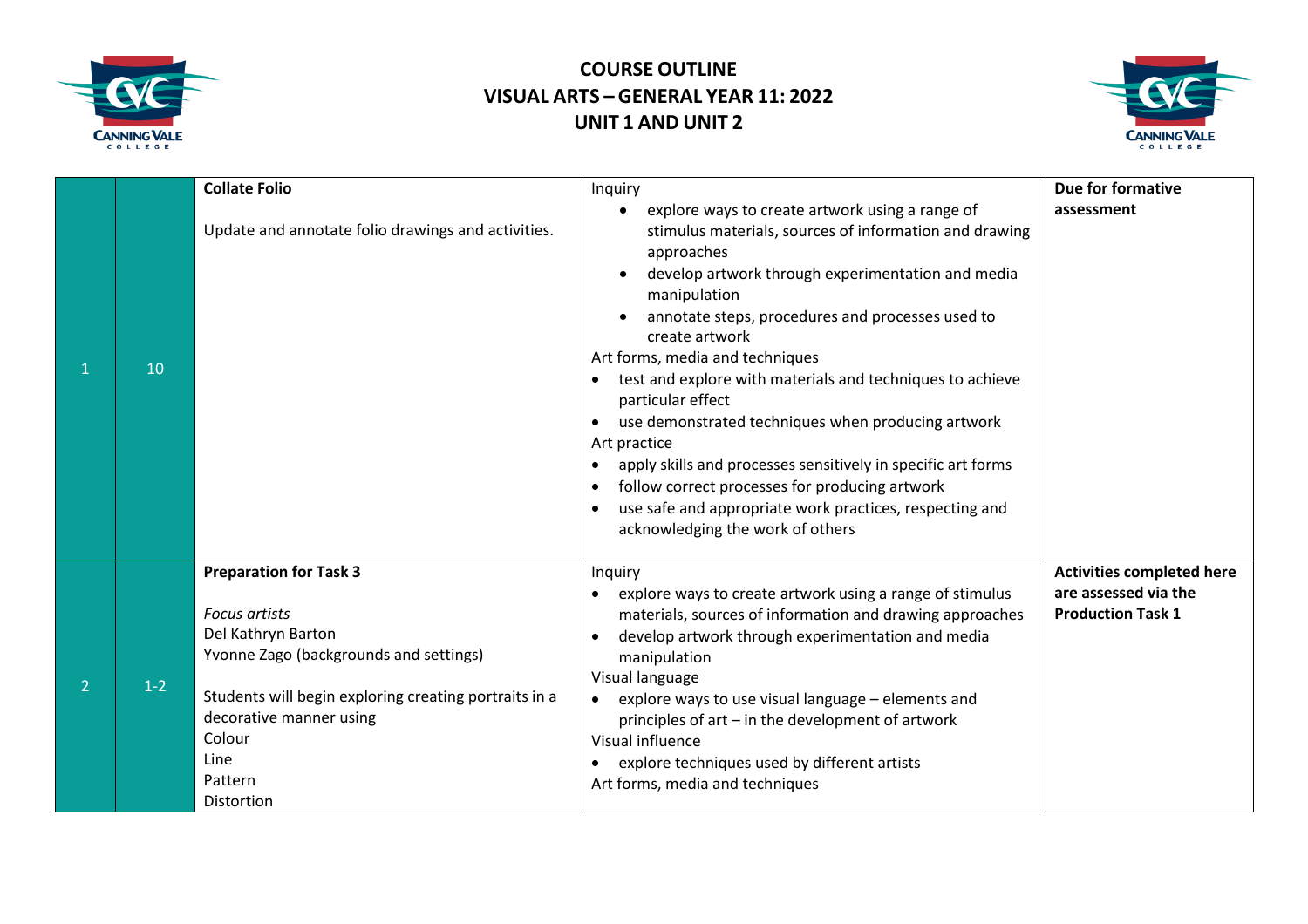



|   |       | <b>Collate Folio</b>                                                                                                                                                                                                                                        | Inquiry                                                                                                                                                                                                                                                                                                                                                                                                                                                                                                                                                                                                                                                                                                                                                      | Due for formative                                                                    |
|---|-------|-------------------------------------------------------------------------------------------------------------------------------------------------------------------------------------------------------------------------------------------------------------|--------------------------------------------------------------------------------------------------------------------------------------------------------------------------------------------------------------------------------------------------------------------------------------------------------------------------------------------------------------------------------------------------------------------------------------------------------------------------------------------------------------------------------------------------------------------------------------------------------------------------------------------------------------------------------------------------------------------------------------------------------------|--------------------------------------------------------------------------------------|
|   | 10    | Update and annotate folio drawings and activities.                                                                                                                                                                                                          | explore ways to create artwork using a range of<br>$\bullet$<br>stimulus materials, sources of information and drawing<br>approaches<br>develop artwork through experimentation and media<br>manipulation<br>annotate steps, procedures and processes used to<br>create artwork<br>Art forms, media and techniques<br>test and explore with materials and techniques to achieve<br>$\bullet$<br>particular effect<br>use demonstrated techniques when producing artwork<br>$\bullet$<br>Art practice<br>apply skills and processes sensitively in specific art forms<br>$\bullet$<br>follow correct processes for producing artwork<br>$\bullet$<br>use safe and appropriate work practices, respecting and<br>$\bullet$<br>acknowledging the work of others | assessment                                                                           |
| 2 | $1-2$ | <b>Preparation for Task 3</b><br><b>Focus artists</b><br>Del Kathryn Barton<br>Yvonne Zago (backgrounds and settings)<br>Students will begin exploring creating portraits in a<br>decorative manner using<br>Colour<br>Line<br>Pattern<br><b>Distortion</b> | Inquiry<br>explore ways to create artwork using a range of stimulus<br>$\bullet$<br>materials, sources of information and drawing approaches<br>develop artwork through experimentation and media<br>$\bullet$<br>manipulation<br>Visual language<br>explore ways to use visual language - elements and<br>principles of art – in the development of artwork<br>Visual influence<br>explore techniques used by different artists<br>$\bullet$<br>Art forms, media and techniques                                                                                                                                                                                                                                                                             | <b>Activities completed here</b><br>are assessed via the<br><b>Production Task 1</b> |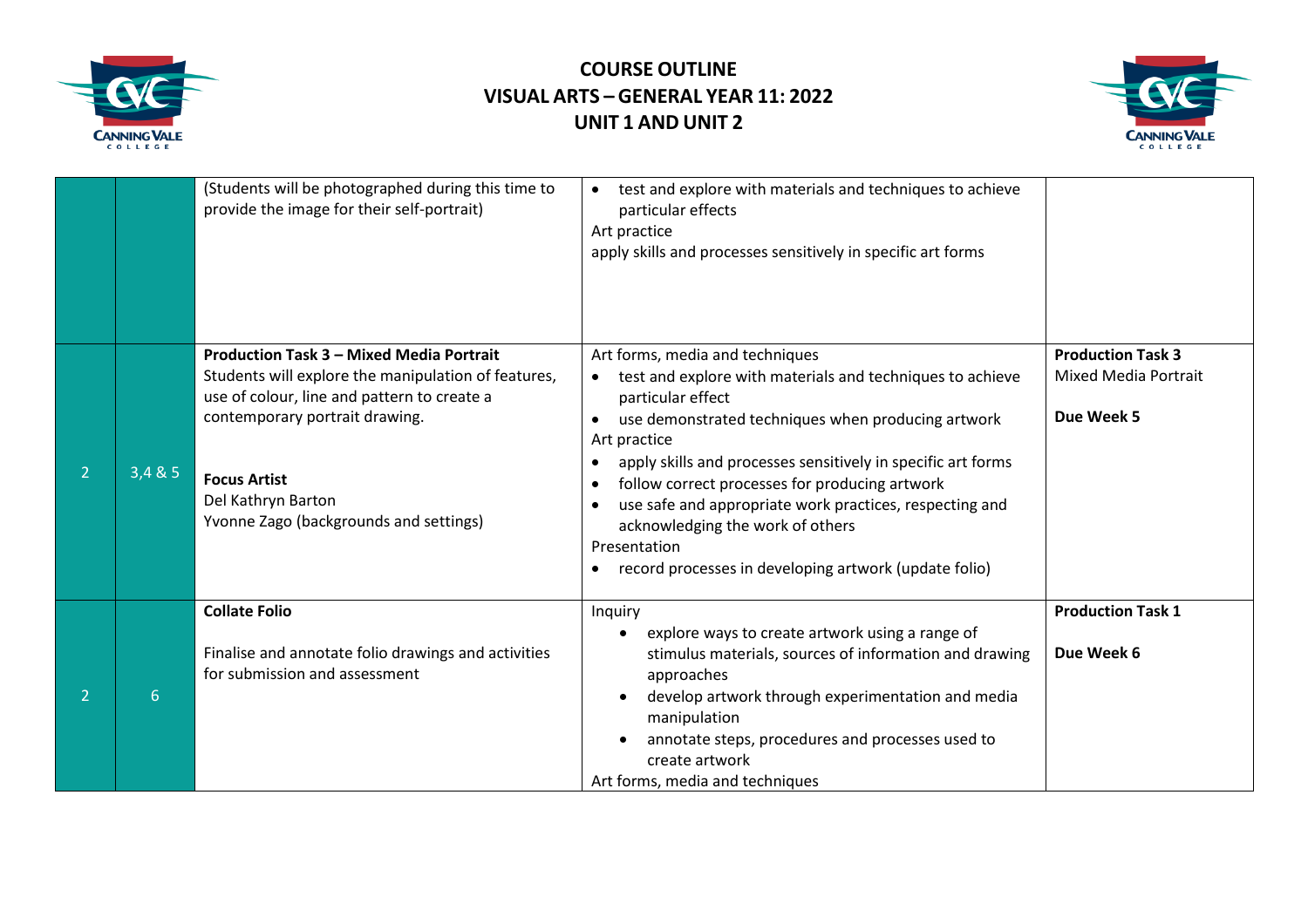



|                |       | (Students will be photographed during this time to<br>provide the image for their self-portrait)                                                      | test and explore with materials and techniques to achieve<br>$\bullet$<br>particular effects<br>Art practice<br>apply skills and processes sensitively in specific art forms                                                                                                                                                                               |                                                         |
|----------------|-------|-------------------------------------------------------------------------------------------------------------------------------------------------------|------------------------------------------------------------------------------------------------------------------------------------------------------------------------------------------------------------------------------------------------------------------------------------------------------------------------------------------------------------|---------------------------------------------------------|
|                |       | <b>Production Task 3 - Mixed Media Portrait</b><br>Students will explore the manipulation of features,<br>use of colour, line and pattern to create a | Art forms, media and techniques<br>test and explore with materials and techniques to achieve<br>particular effect                                                                                                                                                                                                                                          | <b>Production Task 3</b><br><b>Mixed Media Portrait</b> |
|                |       | contemporary portrait drawing.                                                                                                                        | use demonstrated techniques when producing artwork<br>$\bullet$                                                                                                                                                                                                                                                                                            | Due Week 5                                              |
| $\overline{2}$ | 3,485 | <b>Focus Artist</b><br>Del Kathryn Barton<br>Yvonne Zago (backgrounds and settings)                                                                   | Art practice<br>apply skills and processes sensitively in specific art forms<br>$\bullet$<br>follow correct processes for producing artwork<br>$\bullet$<br>use safe and appropriate work practices, respecting and<br>$\bullet$<br>acknowledging the work of others<br>Presentation<br>record processes in developing artwork (update folio)<br>$\bullet$ |                                                         |
|                |       | <b>Collate Folio</b>                                                                                                                                  | Inquiry                                                                                                                                                                                                                                                                                                                                                    | <b>Production Task 1</b>                                |
|                | 6     | Finalise and annotate folio drawings and activities<br>for submission and assessment                                                                  | explore ways to create artwork using a range of<br>stimulus materials, sources of information and drawing<br>approaches<br>develop artwork through experimentation and media<br>manipulation<br>annotate steps, procedures and processes used to<br>create artwork<br>Art forms, media and techniques                                                      | Due Week 6                                              |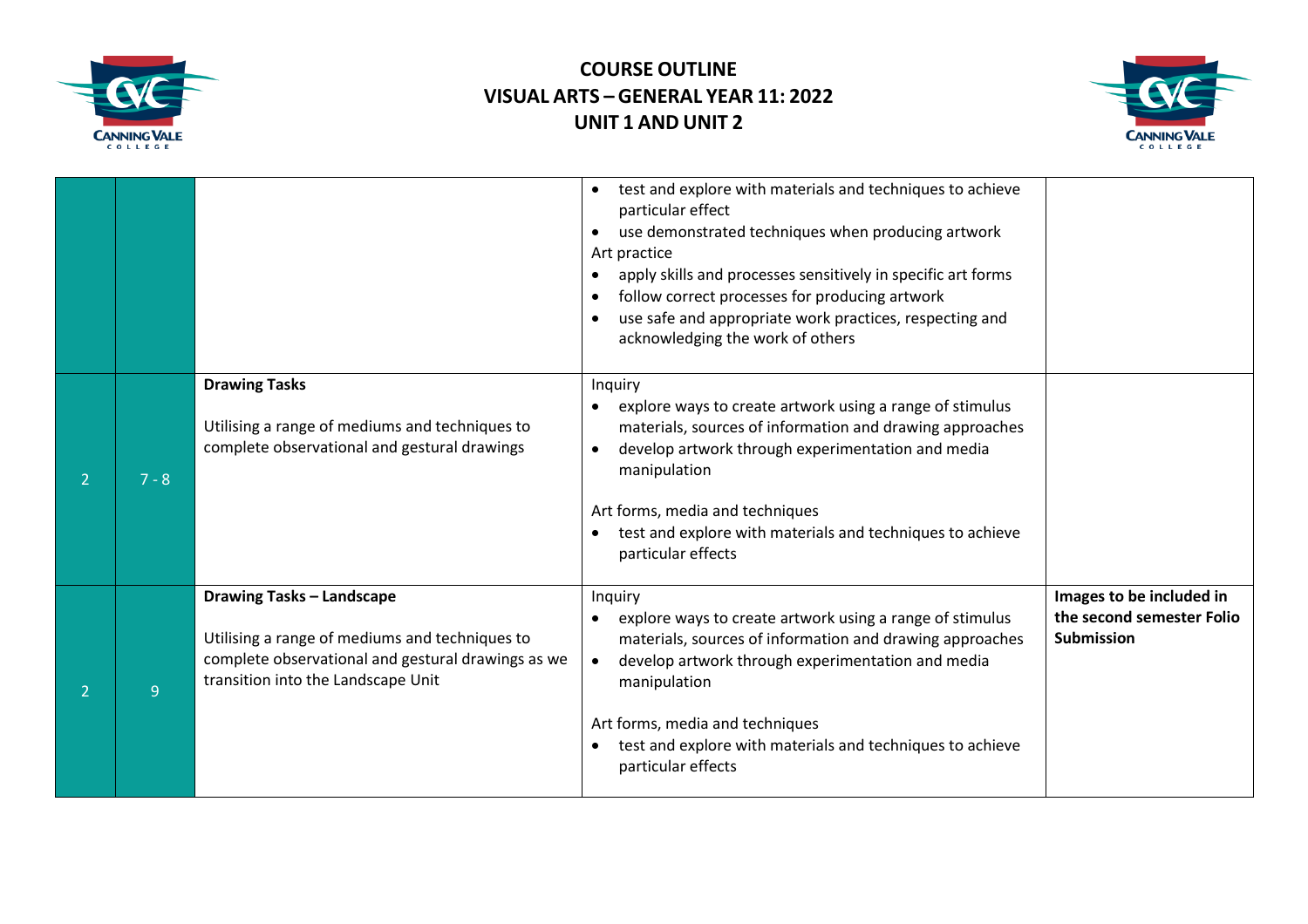



|   |         |                                                                                                                                                                                | test and explore with materials and techniques to achieve<br>particular effect<br>use demonstrated techniques when producing artwork<br>Art practice<br>apply skills and processes sensitively in specific art forms<br>follow correct processes for producing artwork<br>use safe and appropriate work practices, respecting and<br>acknowledging the work of others |                                                                            |
|---|---------|--------------------------------------------------------------------------------------------------------------------------------------------------------------------------------|-----------------------------------------------------------------------------------------------------------------------------------------------------------------------------------------------------------------------------------------------------------------------------------------------------------------------------------------------------------------------|----------------------------------------------------------------------------|
| 2 | $7 - 8$ | <b>Drawing Tasks</b><br>Utilising a range of mediums and techniques to<br>complete observational and gestural drawings                                                         | Inquiry<br>explore ways to create artwork using a range of stimulus<br>materials, sources of information and drawing approaches<br>develop artwork through experimentation and media<br>manipulation<br>Art forms, media and techniques<br>test and explore with materials and techniques to achieve<br>particular effects                                            |                                                                            |
|   | 9       | <b>Drawing Tasks - Landscape</b><br>Utilising a range of mediums and techniques to<br>complete observational and gestural drawings as we<br>transition into the Landscape Unit | Inquiry<br>explore ways to create artwork using a range of stimulus<br>materials, sources of information and drawing approaches<br>develop artwork through experimentation and media<br>manipulation<br>Art forms, media and techniques<br>test and explore with materials and techniques to achieve<br>particular effects                                            | Images to be included in<br>the second semester Folio<br><b>Submission</b> |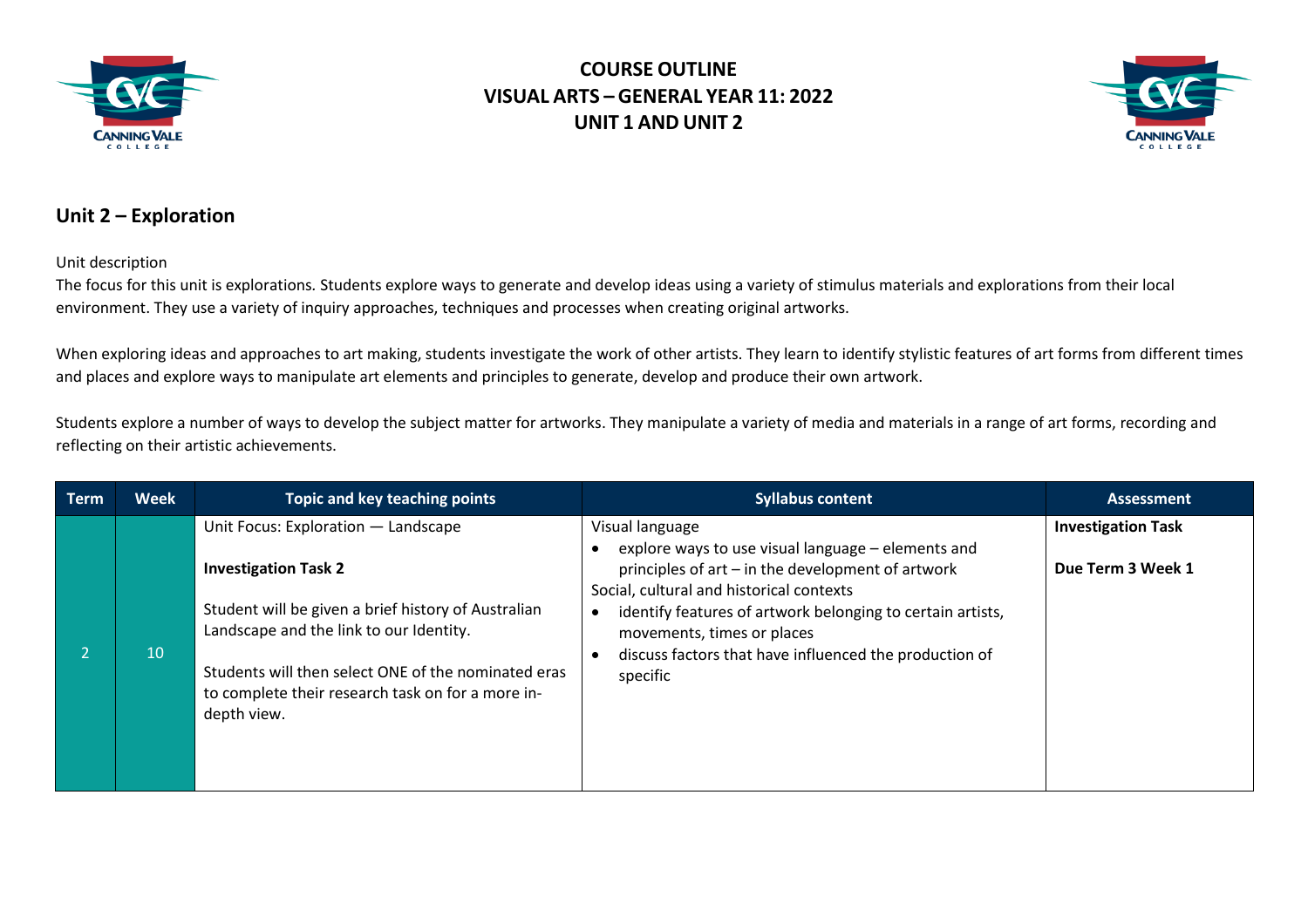



#### **Unit 2 – Exploration**

Unit description

The focus for this unit is explorations*.* Students explore ways to generate and develop ideas using a variety of stimulus materials and explorations from their local environment. They use a variety of inquiry approaches, techniques and processes when creating original artworks.

When exploring ideas and approaches to art making, students investigate the work of other artists. They learn to identify stylistic features of art forms from different times and places and explore ways to manipulate art elements and principles to generate, develop and produce their own artwork.

Students explore a number of ways to develop the subject matter for artworks. They manipulate a variety of media and materials in a range of art forms, recording and reflecting on their artistic achievements.

| <b>Term</b> | <b>Week</b> | Topic and key teaching points                                                                                                                                                                                                                                                                   | <b>Syllabus content</b>                                                                                                                                                                                                                                                                                                                  | <b>Assessment</b>                              |
|-------------|-------------|-------------------------------------------------------------------------------------------------------------------------------------------------------------------------------------------------------------------------------------------------------------------------------------------------|------------------------------------------------------------------------------------------------------------------------------------------------------------------------------------------------------------------------------------------------------------------------------------------------------------------------------------------|------------------------------------------------|
|             | 10          | Unit Focus: Exploration - Landscape<br><b>Investigation Task 2</b><br>Student will be given a brief history of Australian<br>Landscape and the link to our Identity.<br>Students will then select ONE of the nominated eras<br>to complete their research task on for a more in-<br>depth view. | Visual language<br>explore ways to use visual language - elements and<br>principles of art - in the development of artwork<br>Social, cultural and historical contexts<br>identify features of artwork belonging to certain artists,<br>movements, times or places<br>discuss factors that have influenced the production of<br>specific | <b>Investigation Task</b><br>Due Term 3 Week 1 |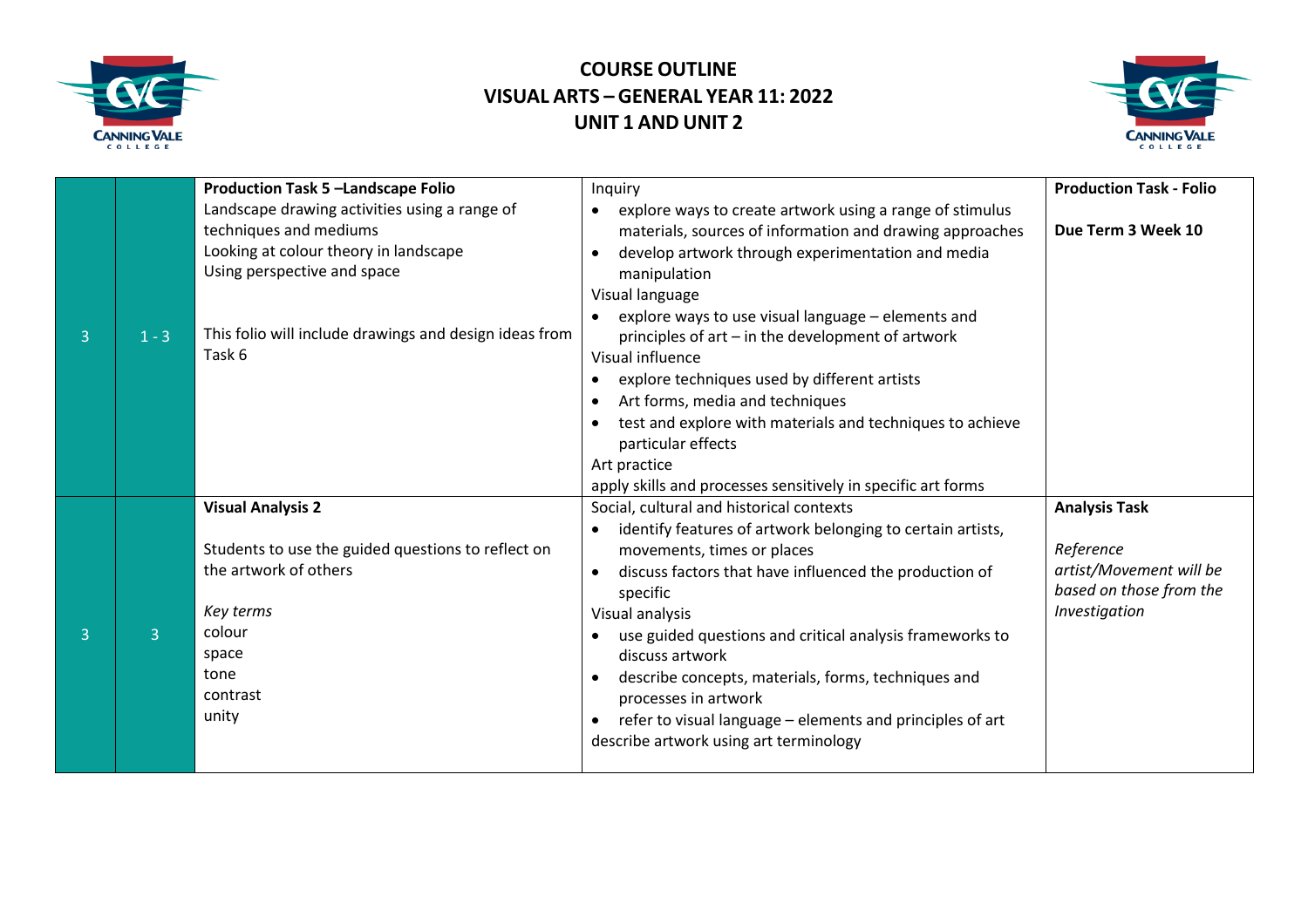



|                |         | <b>Production Task 5 -Landscape Folio</b>                                                                                                                            | Inquiry                                                                                                                                                                                                                                                                                                                                                                                                                                                                                                                      | <b>Production Task - Folio</b>                                                                           |
|----------------|---------|----------------------------------------------------------------------------------------------------------------------------------------------------------------------|------------------------------------------------------------------------------------------------------------------------------------------------------------------------------------------------------------------------------------------------------------------------------------------------------------------------------------------------------------------------------------------------------------------------------------------------------------------------------------------------------------------------------|----------------------------------------------------------------------------------------------------------|
|                |         | Landscape drawing activities using a range of<br>techniques and mediums<br>Looking at colour theory in landscape<br>Using perspective and space                      | explore ways to create artwork using a range of stimulus<br>materials, sources of information and drawing approaches<br>develop artwork through experimentation and media<br>manipulation<br>Visual language                                                                                                                                                                                                                                                                                                                 | Due Term 3 Week 10                                                                                       |
| $\overline{3}$ | $1 - 3$ | This folio will include drawings and design ideas from<br>Task 6                                                                                                     | explore ways to use visual language - elements and<br>principles of art – in the development of artwork<br>Visual influence<br>explore techniques used by different artists<br>Art forms, media and techniques<br>$\bullet$<br>test and explore with materials and techniques to achieve<br>particular effects<br>Art practice                                                                                                                                                                                               |                                                                                                          |
|                |         |                                                                                                                                                                      | apply skills and processes sensitively in specific art forms                                                                                                                                                                                                                                                                                                                                                                                                                                                                 |                                                                                                          |
| $\overline{3}$ | 3       | <b>Visual Analysis 2</b><br>Students to use the guided questions to reflect on<br>the artwork of others<br>Key terms<br>colour<br>space<br>tone<br>contrast<br>unity | Social, cultural and historical contexts<br>identify features of artwork belonging to certain artists,<br>$\bullet$<br>movements, times or places<br>discuss factors that have influenced the production of<br>specific<br>Visual analysis<br>use guided questions and critical analysis frameworks to<br>discuss artwork<br>describe concepts, materials, forms, techniques and<br>processes in artwork<br>refer to visual language - elements and principles of art<br>$\bullet$<br>describe artwork using art terminology | <b>Analysis Task</b><br>Reference<br>artist/Movement will be<br>based on those from the<br>Investigation |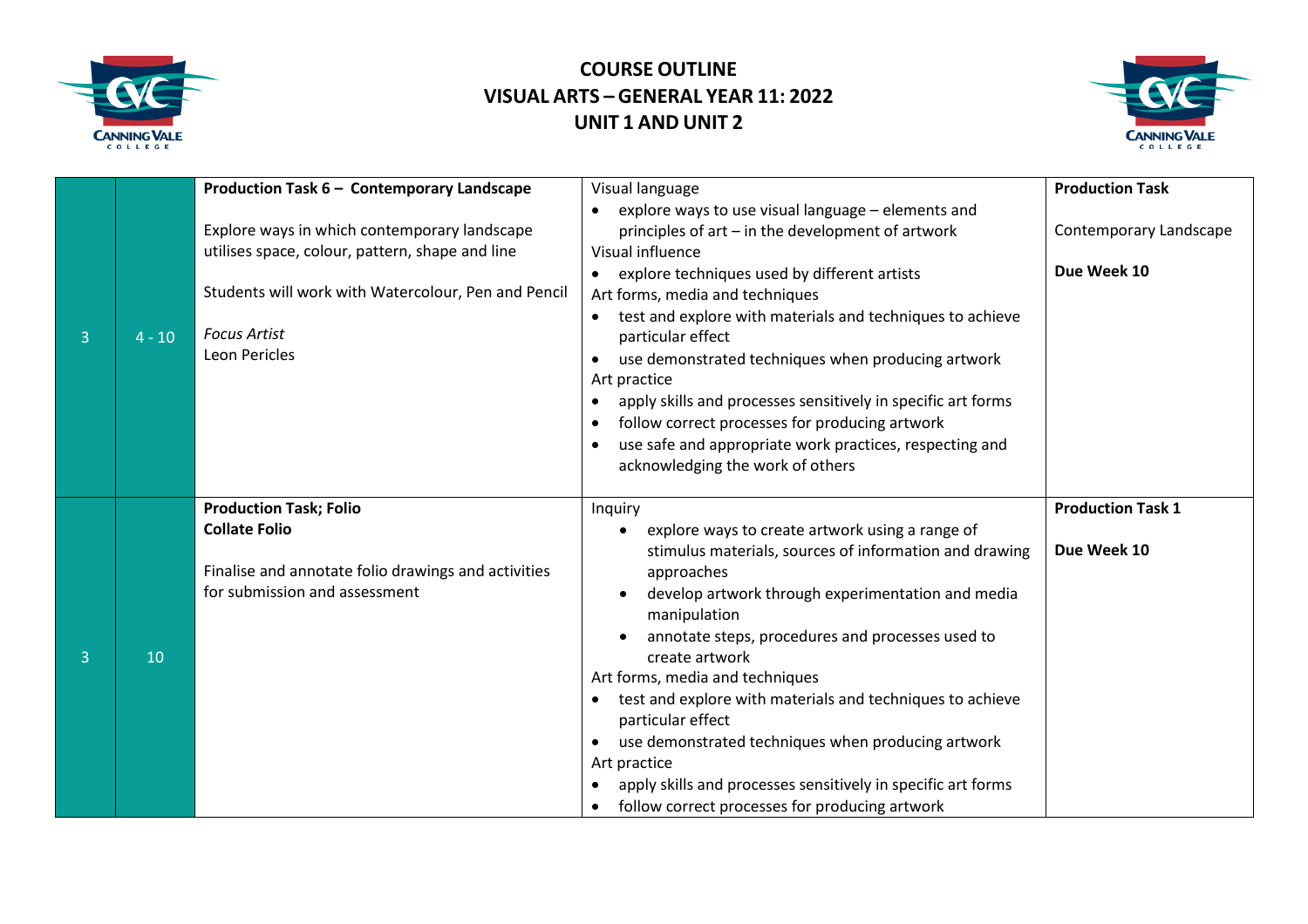



| 3              | $4 - 10$ | Production Task 6 - Contemporary Landscape<br>Explore ways in which contemporary landscape<br>utilises space, colour, pattern, shape and line<br>Students will work with Watercolour, Pen and Pencil<br><b>Focus Artist</b><br><b>Leon Pericles</b> | Visual language<br>explore ways to use visual language - elements and<br>$\bullet$<br>principles of art - in the development of artwork<br>Visual influence<br>explore techniques used by different artists<br>Art forms, media and techniques<br>test and explore with materials and techniques to achieve<br>particular effect<br>use demonstrated techniques when producing artwork<br>Art practice<br>apply skills and processes sensitively in specific art forms<br>follow correct processes for producing artwork<br>use safe and appropriate work practices, respecting and<br>acknowledging the work of others | <b>Production Task</b><br>Contemporary Landscape<br>Due Week 10 |
|----------------|----------|-----------------------------------------------------------------------------------------------------------------------------------------------------------------------------------------------------------------------------------------------------|-------------------------------------------------------------------------------------------------------------------------------------------------------------------------------------------------------------------------------------------------------------------------------------------------------------------------------------------------------------------------------------------------------------------------------------------------------------------------------------------------------------------------------------------------------------------------------------------------------------------------|-----------------------------------------------------------------|
| $\overline{3}$ | 10       | <b>Production Task; Folio</b><br><b>Collate Folio</b><br>Finalise and annotate folio drawings and activities<br>for submission and assessment                                                                                                       | Inquiry<br>explore ways to create artwork using a range of<br>$\bullet$<br>stimulus materials, sources of information and drawing<br>approaches<br>develop artwork through experimentation and media<br>manipulation<br>annotate steps, procedures and processes used to<br>create artwork<br>Art forms, media and techniques<br>test and explore with materials and techniques to achieve<br>particular effect<br>use demonstrated techniques when producing artwork<br>$\bullet$<br>Art practice<br>apply skills and processes sensitively in specific art forms<br>follow correct processes for producing artwork    | <b>Production Task 1</b><br>Due Week 10                         |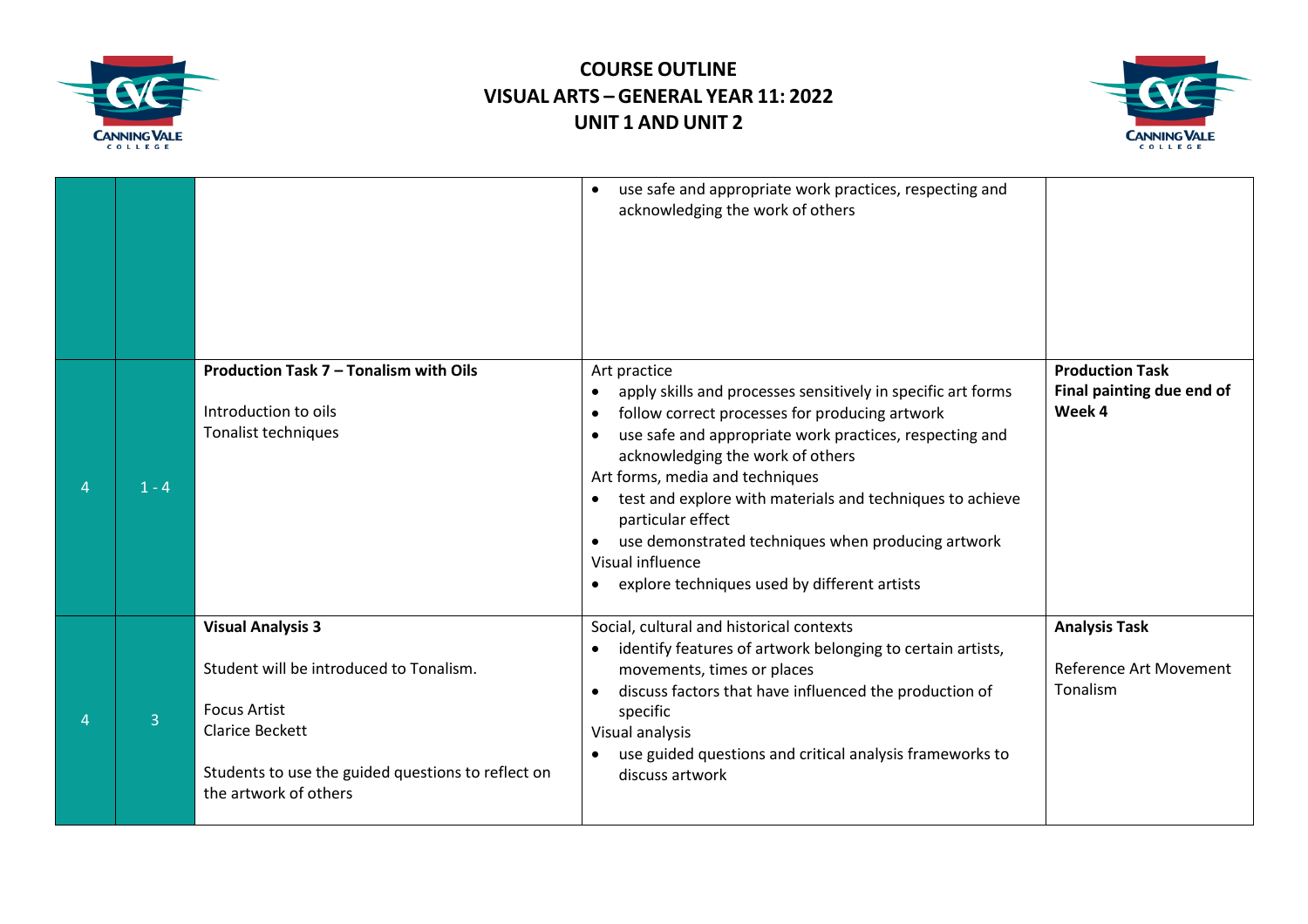



|                |         |                                                                                                                                                                                                     | use safe and appropriate work practices, respecting and<br>$\bullet$<br>acknowledging the work of others                                                                                                                                                                                                                                                                                                                                                                                                                         |                                                                   |
|----------------|---------|-----------------------------------------------------------------------------------------------------------------------------------------------------------------------------------------------------|----------------------------------------------------------------------------------------------------------------------------------------------------------------------------------------------------------------------------------------------------------------------------------------------------------------------------------------------------------------------------------------------------------------------------------------------------------------------------------------------------------------------------------|-------------------------------------------------------------------|
|                | $1 - 4$ | Production Task 7 - Tonalism with Oils<br>Introduction to oils<br>Tonalist techniques                                                                                                               | Art practice<br>apply skills and processes sensitively in specific art forms<br>follow correct processes for producing artwork<br>$\bullet$<br>use safe and appropriate work practices, respecting and<br>acknowledging the work of others<br>Art forms, media and techniques<br>test and explore with materials and techniques to achieve<br>$\bullet$<br>particular effect<br>use demonstrated techniques when producing artwork<br>$\bullet$<br>Visual influence<br>explore techniques used by different artists<br>$\bullet$ | <b>Production Task</b><br>Final painting due end of<br>Week 4     |
| $\overline{4}$ | 3       | <b>Visual Analysis 3</b><br>Student will be introduced to Tonalism.<br><b>Focus Artist</b><br><b>Clarice Beckett</b><br>Students to use the guided questions to reflect on<br>the artwork of others | Social, cultural and historical contexts<br>identify features of artwork belonging to certain artists,<br>movements, times or places<br>discuss factors that have influenced the production of<br>$\bullet$<br>specific<br>Visual analysis<br>use guided questions and critical analysis frameworks to<br>discuss artwork                                                                                                                                                                                                        | <b>Analysis Task</b><br><b>Reference Art Movement</b><br>Tonalism |